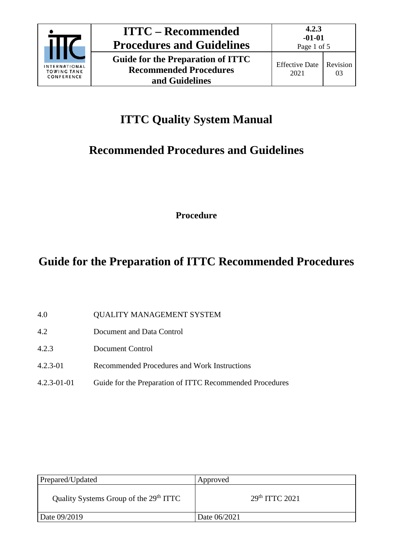

03

# **ITTC Quality System Manual**

## **Recommended Procedures and Guidelines**

**Procedure**

## **Guide for the Preparation of ITTC Recommended Procedures**

| 4.0 | <b>QUALITY MANAGEMENT SYSTEM</b> |  |
|-----|----------------------------------|--|
|     |                                  |  |

- 4.2 Document and Data Control
- 4.2.3 Document Control
- 4.2.3-01 Recommended Procedures and Work Instructions
- 4.2.3-01-01 Guide for the Preparation of ITTC Recommended Procedures

| Prepared/Updated                                   | Approved           |
|----------------------------------------------------|--------------------|
| Quality Systems Group of the 29 <sup>th</sup> ITTC | $29th$ ITTC $2021$ |
| Date 09/2019                                       | Date 06/2021       |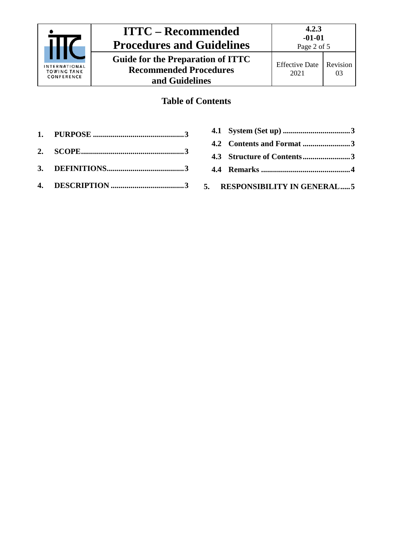

### **ITTC – Recommended Procedures and Guidelines Guide for the Preparation of ITTC Recommended Procedures and Guidelines**

### **Table of Contents**

- **1. PURPOSE [..............................................3](#page-2-0) 2. [SCOPE....................................................3](#page-2-1)**
- **3. [DEFINITIONS.......................................3](#page-2-2)**
- **4. DESCRIPTION [.....................................3](#page-2-3)**

| 4.2 Contents and Format 3  |  |
|----------------------------|--|
| 4.3 Structure of Contents3 |  |
|                            |  |
|                            |  |

**5. [RESPONSIBILITY IN GENERAL.....5](#page-4-0)**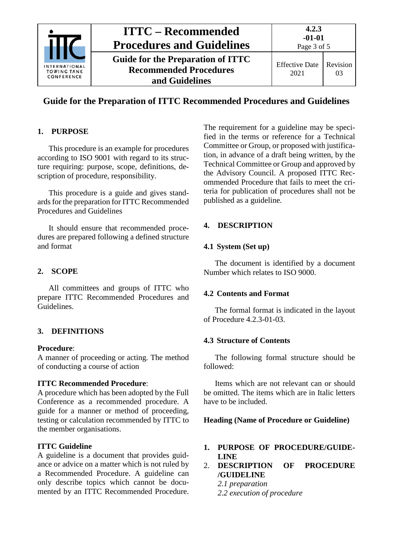

### **Guide for the Preparation of ITTC Recommended Procedures and Guidelines**

#### <span id="page-2-0"></span>**1. PURPOSE**

This procedure is an example for procedures according to ISO 9001 with regard to its structure requiring: purpose, scope, definitions, description of procedure, responsibility.

This procedure is a guide and gives standards for the preparation for ITTC Recommended Procedures and Guidelines

It should ensure that recommended procedures are prepared following a defined structure and format

#### <span id="page-2-1"></span>**2. SCOPE**

All committees and groups of ITTC who prepare ITTC Recommended Procedures and Guidelines.

#### <span id="page-2-2"></span>**3. DEFINITIONS**

#### **Procedure**:

A manner of proceeding or acting. The method of conducting a course of action

#### **ITTC Recommended Procedure**:

A procedure which has been adopted by the Full Conference as a recommended procedure. A guide for a manner or method of proceeding, testing or calculation recommended by ITTC to the member organisations.

#### **ITTC Guideline**

A guideline is a document that provides guidance or advice on a matter which is not ruled by a Recommended Procedure. A guideline can only describe topics which cannot be documented by an ITTC Recommended Procedure.

The requirement for a guideline may be specified in the terms or reference for a Technical Committee or Group, or proposed with justification, in advance of a draft being written, by the Technical Committee or Group and approved by the Advisory Council. A proposed ITTC Recommended Procedure that fails to meet the criteria for publication of procedures shall not be published as a guideline.

#### <span id="page-2-4"></span><span id="page-2-3"></span>**4. DESCRIPTION**

#### **4.1 System (Set up)**

The document is identified by a document Number which relates to ISO 9000.

#### <span id="page-2-5"></span>**4.2 Contents and Format**

The formal format is indicated in the layout of Procedure 4.2.3-01-03.

#### <span id="page-2-6"></span>**4.3 Structure of Contents**

The following formal structure should be followed:

Items which are not relevant can or should be omitted. The items which are in Italic letters have to be included.

#### **Heading (Name of Procedure or Guideline)**

- **1. PURPOSE OF PROCEDURE/GUIDE-LINE**
- 2. **DESCRIPTION OF PROCEDURE /GUIDELINE** *2.1 preparation*

*2.2 execution of procedure*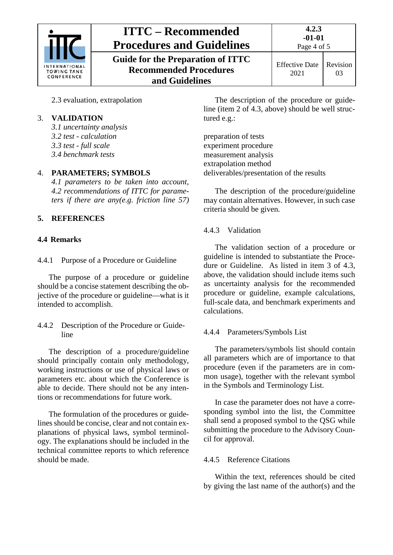

## **ITTC – Recommended Procedures and Guidelines Guide for the Preparation of ITTC**

**Recommended Procedures and Guidelines**

**4.2.3**

2.3 evaluation, extrapolation

#### 3. **VALIDATION**

*3.1 uncertainty analysis 3.2 test - calculation 3.3 test - full scale 3.4 benchmark tests*

#### 4. **PARAMETERS; SYMBOLS**

*4.1 parameters to be taken into account*, *4.2 recommendations of ITTC for parameters if there are any(e.g. friction line 57)*

### **5. REFERENCES**

#### <span id="page-3-0"></span>**4.4 Remarks**

4.4.1 Purpose of a Procedure or Guideline

The purpose of a procedure or guideline should be a concise statement describing the objective of the procedure or guideline—what is it intended to accomplish.

4.4.2 Description of the Procedure or Guideline

The description of a procedure/guideline should principally contain only methodology, working instructions or use of physical laws or parameters etc. about which the Conference is able to decide. There should not be any intentions or recommendations for future work.

The formulation of the procedures or guidelines should be concise, clear and not contain explanations of physical laws, symbol terminology. The explanations should be included in the technical committee reports to which reference should be made.

The description of the procedure or guideline (item 2 of 4.3, above) should be well structured e.g.:

preparation of tests experiment procedure measurement analysis extrapolation method deliverables/presentation of the results

The description of the procedure/guideline may contain alternatives. However, in such case criteria should be given.

#### 4.4.3 Validation

The validation section of a procedure or guideline is intended to substantiate the Procedure or Guideline. As listed in item 3 of 4.3, above, the validation should include items such as uncertainty analysis for the recommended procedure or guideline, example calculations, full-scale data, and benchmark experiments and calculations.

#### 4.4.4 Parameters/Symbols List

The parameters/symbols list should contain all parameters which are of importance to that procedure (even if the parameters are in common usage), together with the relevant symbol in the Symbols and Terminology List.

In case the parameter does not have a corresponding symbol into the list, the Committee shall send a proposed symbol to the QSG while submitting the procedure to the Advisory Council for approval.

#### 4.4.5 Reference Citations

Within the text, references should be cited by giving the last name of the author(s) and the